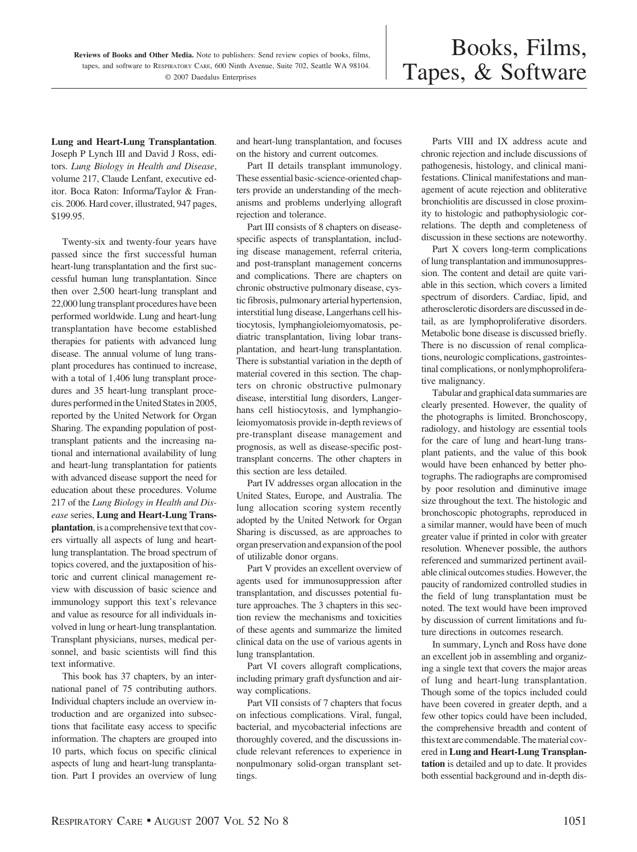**Lung and Heart-Lung Transplantation**. Joseph P Lynch III and David J Ross, editors. *Lung Biology in Health and Disease*, volume 217, Claude Lenfant, executive editor. Boca Raton: Informa/Taylor & Francis. 2006. Hard cover, illustrated, 947 pages, \$199.95.

Twenty-six and twenty-four years have passed since the first successful human heart-lung transplantation and the first successful human lung transplantation. Since then over 2,500 heart-lung transplant and 22,000 lung transplant procedures have been performed worldwide. Lung and heart-lung transplantation have become established therapies for patients with advanced lung disease. The annual volume of lung transplant procedures has continued to increase, with a total of 1,406 lung transplant procedures and 35 heart-lung transplant procedures performed in the United States in 2005, reported by the United Network for Organ Sharing. The expanding population of posttransplant patients and the increasing national and international availability of lung and heart-lung transplantation for patients with advanced disease support the need for education about these procedures. Volume 217 of the *Lung Biology in Health and Disease* series, **Lung and Heart-Lung Transplantation**, is a comprehensive text that covers virtually all aspects of lung and heartlung transplantation. The broad spectrum of topics covered, and the juxtaposition of historic and current clinical management review with discussion of basic science and immunology support this text's relevance and value as resource for all individuals involved in lung or heart-lung transplantation. Transplant physicians, nurses, medical personnel, and basic scientists will find this text informative.

This book has 37 chapters, by an international panel of 75 contributing authors. Individual chapters include an overview introduction and are organized into subsections that facilitate easy access to specific information. The chapters are grouped into 10 parts, which focus on specific clinical aspects of lung and heart-lung transplantation. Part I provides an overview of lung and heart-lung transplantation, and focuses on the history and current outcomes.

Part II details transplant immunology. These essential basic-science-oriented chapters provide an understanding of the mechanisms and problems underlying allograft rejection and tolerance.

Part III consists of 8 chapters on diseasespecific aspects of transplantation, including disease management, referral criteria, and post-transplant management concerns and complications. There are chapters on chronic obstructive pulmonary disease, cystic fibrosis, pulmonary arterial hypertension, interstitial lung disease, Langerhans cell histiocytosis, lymphangioleiomyomatosis, pediatric transplantation, living lobar transplantation, and heart-lung transplantation. There is substantial variation in the depth of material covered in this section. The chapters on chronic obstructive pulmonary disease, interstitial lung disorders, Langerhans cell histiocytosis, and lymphangioleiomyomatosis provide in-depth reviews of pre-transplant disease management and prognosis, as well as disease-specific posttransplant concerns. The other chapters in this section are less detailed.

Part IV addresses organ allocation in the United States, Europe, and Australia. The lung allocation scoring system recently adopted by the United Network for Organ Sharing is discussed, as are approaches to organ preservation and expansion of the pool of utilizable donor organs.

Part V provides an excellent overview of agents used for immunosuppression after transplantation, and discusses potential future approaches. The 3 chapters in this section review the mechanisms and toxicities of these agents and summarize the limited clinical data on the use of various agents in lung transplantation.

Part VI covers allograft complications, including primary graft dysfunction and airway complications.

Part VII consists of 7 chapters that focus on infectious complications. Viral, fungal, bacterial, and mycobacterial infections are thoroughly covered, and the discussions include relevant references to experience in nonpulmonary solid-organ transplant settings.

Parts VIII and IX address acute and chronic rejection and include discussions of pathogenesis, histology, and clinical manifestations. Clinical manifestations and management of acute rejection and obliterative bronchiolitis are discussed in close proximity to histologic and pathophysiologic correlations. The depth and completeness of discussion in these sections are noteworthy.

Part X covers long-term complications of lung transplantation and immunosuppression. The content and detail are quite variable in this section, which covers a limited spectrum of disorders. Cardiac, lipid, and atherosclerotic disorders are discussed in detail, as are lymphoproliferative disorders. Metabolic bone disease is discussed briefly. There is no discussion of renal complications, neurologic complications, gastrointestinal complications, or nonlymphoproliferative malignancy.

Tabular and graphical data summaries are clearly presented. However, the quality of the photographs is limited. Bronchoscopy, radiology, and histology are essential tools for the care of lung and heart-lung transplant patients, and the value of this book would have been enhanced by better photographs. The radiographs are compromised by poor resolution and diminutive image size throughout the text. The histologic and bronchoscopic photographs, reproduced in a similar manner, would have been of much greater value if printed in color with greater resolution. Whenever possible, the authors referenced and summarized pertinent available clinical outcomes studies. However, the paucity of randomized controlled studies in the field of lung transplantation must be noted. The text would have been improved by discussion of current limitations and future directions in outcomes research.

In summary, Lynch and Ross have done an excellent job in assembling and organizing a single text that covers the major areas of lung and heart-lung transplantation. Though some of the topics included could have been covered in greater depth, and a few other topics could have been included, the comprehensive breadth and content of thistext are commendable.Thematerial covered in **Lung and Heart-Lung Transplantation** is detailed and up to date. It provides both essential background and in-depth dis